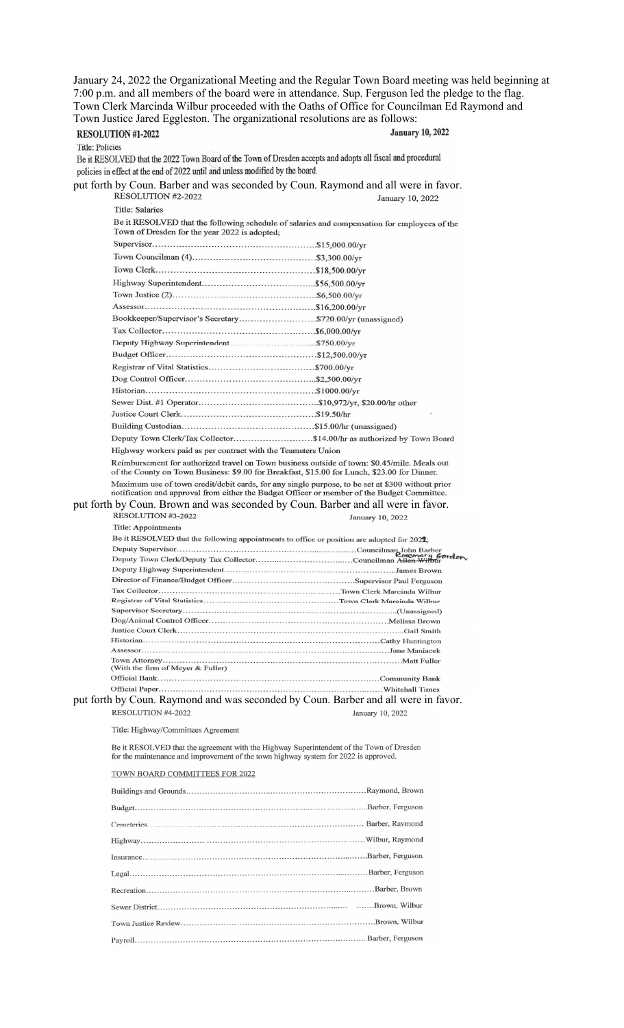January 24, 2022 the Organizational Meeting and the Regular Town Board meeting was held beginning at 7:00 p.m. and all members of the board were in attendance. Sup. Ferguson led the pledge to the flag. Town Clerk Marcinda Wilbur proceeded with the Oaths of Office for Councilman Ed Raymond and Town Justice Jared Eggleston. The organizational resolutions are as follows: **January 10, 2022** RESOLUTION #1-2022 Title: Policies Be it RESOLVED that the 2022 Town Board of the Town of Dresden accepts and adopts all fiscal and procedural policies in effect at the end of 2022 until and unless modified by the board. put forth by Coun. Barber and was seconded by Coun. Raymond and all were in favor.<br>RESOLUTION #2-2022<br>January 10, 2022 January 10, 2022 Title: Salaries Be it RESOLVED that the following schedule of salaries and compensation for employees of the Town of Dresden for the year 2022 is adopted; Deputy Town Clerk/Tax Collector...........................\$14.00/hr as authorized by Town Board Highway workers paid as per contract with the Teamsters Union Reimbursement for authorized travel on Town business outside of town: \$0.45/mile. Meals out of the County on Town Business: \$9.00 for Breakfast, \$15.00 for Lunch, \$23.00 for Dinner. Maximum use of town credit/debit cards, for any single purpose, to be set at \$300 without prior notification and approval from either the Budget Officer or member of the Budget Committee. put forth by Coun. Brown and was seconded by Coun. Barber and all were in favor.<br>RESOLUTION #3-2022 January 10, 2022 Title: Appointments Be it RESOLVED that the following appointments to office or position are adopted for 2022; n Barber<br>**mar***y Gordo***n**<br><del>n Wilbu</del>r Tax Collector........... put forth by Coun. Raymond and was seconded by Coun. Barber and all were in favor. RESOLUTION #4-2022 January 10, 2022 Title: Highway/Committees Agreement Be it RESOLVED that the agreement with the Highway Superintendent of the Town of Dresden for the maintenance and improvement of the town highway system for 2022 is approved. TOWN BOARD COMMITTEES FOR 2022